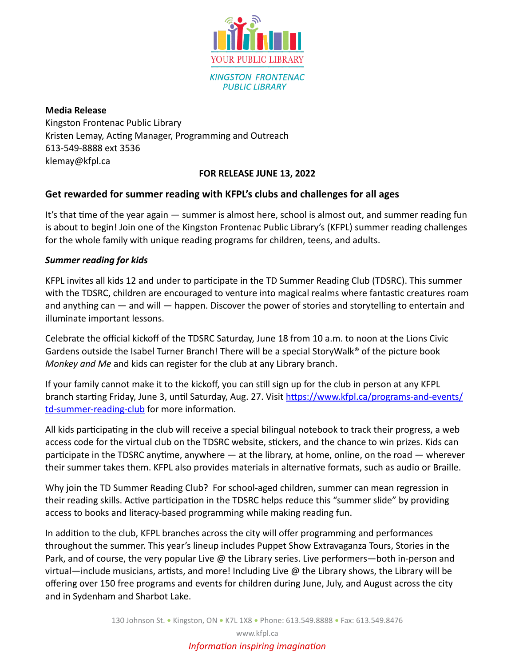

**Media Release** Kingston Frontenac Public Library Kristen Lemay, Acting Manager, Programming and Outreach 613-549-8888 ext 3536 klemay@kfpl.ca

## **FOR RELEASE JUNE 13, 2022**

# **Get rewarded for summer reading with KFPL's clubs and challenges for all ages**

It's that time of the year again — summer is almost here, school is almost out, and summer reading fun is about to begin! Join one of the Kingston Frontenac Public Library's (KFPL) summer reading challenges for the whole family with unique reading programs for children, teens, and adults.

# *Summer reading for kids*

KFPL invites all kids 12 and under to participate in the TD Summer Reading Club (TDSRC). This summer with the TDSRC, children are encouraged to venture into magical realms where fantastic creatures roam and anything can — and will — happen. Discover the power of stories and storytelling to entertain and illuminate important lessons.

Celebrate the official kickoff of the TDSRC Saturday, June 18 from 10 a.m. to noon at the Lions Civic Gardens outside the Isabel Turner Branch! There will be a special StoryWalk® of the picture book *Monkey and Me* and kids can register for the club at any Library branch.

If your family cannot make it to the kickoff, you can still sign up for the club in person at any KFPL branch starting Friday, June 3, until Saturday, Aug. 27. Visit [https://www.kfpl.ca/programs-and-events/](https://www.kfpl.ca/programs-and-events/td-summer-reading-club) [td-summer-reading-club](https://www.kfpl.ca/programs-and-events/td-summer-reading-club) for more information.

All kids participating in the club will receive a special bilingual notebook to track their progress, a web access code for the virtual club on the TDSRC website, stickers, and the chance to win prizes. Kids can participate in the TDSRC anytime, anywhere — at the library, at home, online, on the road — wherever their summer takes them. KFPL also provides materials in alternative formats, such as audio or Braille.

Why join the TD Summer Reading Club? For school-aged children, summer can mean regression in their reading skills. Active participation in the TDSRC helps reduce this "summer slide" by providing access to books and literacy-based programming while making reading fun.

In addition to the club, KFPL branches across the city will offer programming and performances throughout the summer. This year's lineup includes Puppet Show Extravaganza Tours, Stories in the Park, and of course, the very popular Live @ the Library series. Live performers—both in-person and virtual—include musicians, artists, and more! Including Live @ the Library shows, the Library will be offering over 150 free programs and events for children during June, July, and August across the city and in Sydenham and Sharbot Lake.

www.kfpl.ca

# *Information inspiring imagination*